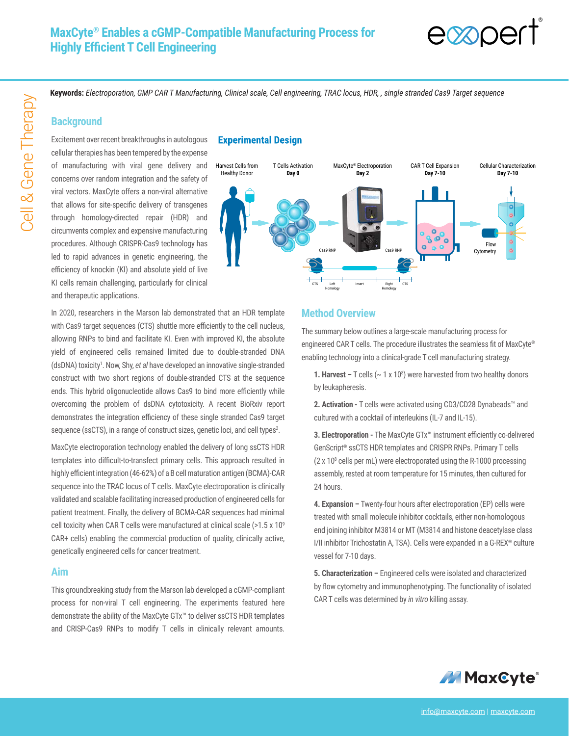

**Keywords:** *Electroporation, GMP CAR T Manufacturing, Clinical scale, Cell engineering, TRAC locus, HDR, , single stranded Cas9 Target sequence*

#### **Background**

Excitement over recent breakthroughs in autologous cellular therapies has been tempered by the expense of manufacturing with viral gene delivery and concerns over random integration and the safety of viral vectors. MaxCyte offers a non-viral alternative that allows for site-specific delivery of transgenes through homology-directed repair (HDR) and circumvents complex and expensive manufacturing procedures. Although CRISPR-Cas9 technology has led to rapid advances in genetic engineering, the efficiency of knockin (KI) and absolute yield of live KI cells remain challenging, particularly for clinical and therapeutic applications.

### **Experimental Design**



In 2020, researchers in the Marson lab demonstrated that an HDR template with Cas9 target sequences (CTS) shuttle more efficiently to the cell nucleus, allowing RNPs to bind and facilitate KI. Even with improved KI, the absolute yield of engineered cells remained limited due to double-stranded DNA (dsDNA) toxicity<sup>1</sup>. Now, Shy, et al have developed an innovative single-stranded construct with two short regions of double-stranded CTS at the sequence ends. This hybrid oligonucleotide allows Cas9 to bind more efficiently while overcoming the problem of dsDNA cytotoxicity. A recent BioRxiv report demonstrates the integration efficiency of these single stranded Cas9 target sequence (ssCTS), in a range of construct sizes, genetic loci, and cell types<sup>2</sup>.

MaxCyte electroporation technology enabled the delivery of long ssCTS HDR templates into difficult-to-transfect primary cells. This approach resulted in highly efficient integration (46-62%) of a B cell maturation antigen (BCMA)-CAR sequence into the TRAC locus of T cells. MaxCyte electroporation is clinically validated and scalable facilitating increased production of engineered cells for patient treatment. Finally, the delivery of BCMA-CAR sequences had minimal cell toxicity when CAR T cells were manufactured at clinical scale (>1.5 x 109 CAR+ cells) enabling the commercial production of quality, clinically active, genetically engineered cells for cancer treatment.

#### **Aim**

This groundbreaking study from the Marson lab developed a cGMP-compliant process for non-viral T cell engineering. The experiments featured here demonstrate the ability of the MaxCyte GTx™ to deliver ssCTS HDR templates and CRISP-Cas9 RNPs to modify T cells in clinically relevant amounts.

### **Method Overview**

The summary below outlines a large-scale manufacturing process for engineered CAR T cells. The procedure illustrates the seamless fit of MaxCyte® enabling technology into a clinical-grade T cell manufacturing strategy.

**1. Harvest –** T cells ( $\sim$  1 x 10<sup>8</sup>) were harvested from two healthy donors by leukapheresis.

**2. Activation -** T cells were activated using CD3/CD28 Dynabeads™ and cultured with a cocktail of interleukins (IL-7 and IL-15).

**3. Electroporation -** The MaxCyte GTx™ instrument efficiently co-delivered GenScript® ssCTS HDR templates and CRISPR RNPs. Primary T cells  $(2 \times 10^8 \text{ cells per mL})$  were electroporated using the R-1000 processing assembly, rested at room temperature for 15 minutes, then cultured for 24 hours.

**4. Expansion –** Twenty-four hours after electroporation (EP) cells were treated with small molecule inhibitor cocktails, either non-homologous end joining inhibitor M3814 or MT (M3814 and histone deacetylase class I/II inhibitor Trichostatin A, TSA). Cells were expanded in a G-REX® culture vessel for 7-10 days.

**5. Characterization –** Engineered cells were isolated and characterized by flow cytometry and immunophenotyping. The functionality of isolated CAR T cells was determined by *in vitro* killing assay.

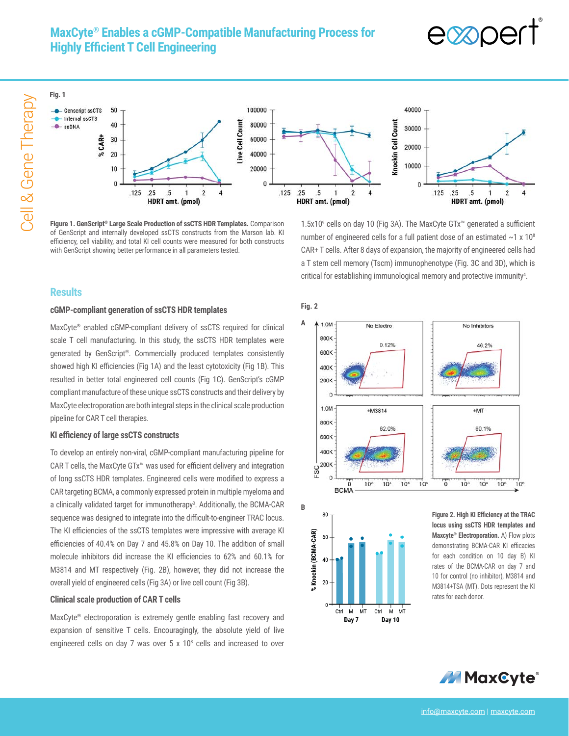# **MaxCyte® Enables a cGMP-Compatible Manufacturing Process for Highly Efficient T Cell Engineering**





**Figure 1. GenScript® Large Scale Production of ssCTS HDR Templates.** Comparison of GenScript and internally developed ssCTS constructs from the Marson lab. KI efficiency, cell viability, and total KI cell counts were measured for both constructs with GenScript showing better performance in all parameters tested.

1.5x109 cells on day 10 (Fig 3A). The MaxCyte GTx™ generated a sufficient number of engineered cells for a full patient dose of an estimated  $\sim$ 1 x 10<sup>8</sup> CAR+ T cells. After 8 days of expansion, the majority of engineered cells had a T stem cell memory (Tscm) immunophenotype (Fig. 3C and 3D), which is critical for establishing immunological memory and protective immunity<sup>4</sup>.

## **Results**

#### **cGMP-compliant generation of ssCTS HDR templates**

MaxCyte® enabled cGMP-compliant delivery of ssCTS required for clinical scale T cell manufacturing. In this study, the ssCTS HDR templates were generated by GenScript®. Commercially produced templates consistently showed high KI efficiencies (Fig 1A) and the least cytotoxicity (Fig 1B). This resulted in better total engineered cell counts (Fig 1C). GenScript's cGMP compliant manufacture of these unique ssCTS constructs and their delivery by MaxCyte electroporation are both integral steps in the clinical scale production pipeline for CAR T cell therapies.

#### **KI efficiency of large ssCTS constructs**

To develop an entirely non-viral, cGMP-compliant manufacturing pipeline for CAR T cells, the MaxCyte GTx™ was used for efficient delivery and integration of long ssCTS HDR templates. Engineered cells were modified to express a CAR targeting BCMA, a commonly expressed protein in multiple myeloma and a clinically validated target for immunotherapy<sup>3</sup>. Additionally, the BCMA-CAR sequence was designed to integrate into the difficult-to-engineer TRAC locus. The KI efficiencies of the ssCTS templates were impressive with average KI efficiencies of 40.4% on Day 7 and 45.8% on Day 10. The addition of small molecule inhibitors did increase the KI efficiencies to 62% and 60.1% for M3814 and MT respectively (Fig. 2B), however, they did not increase the overall yield of engineered cells (Fig 3A) or live cell count (Fig 3B).

#### **Clinical scale production of CAR T cells**

MaxCyte® electroporation is extremely gentle enabling fast recovery and expansion of sensitive T cells. Encouragingly, the absolute yield of live engineered cells on day 7 was over 5 x 10<sup>8</sup> cells and increased to over

#### **Fig. 2**

**A**





**Figure 2. High KI Efficiency at the TRAC locus using ssCTS HDR templates and Maxcyte® Electroporation.** A) Flow plots demonstrating BCMA-CAR KI efficacies for each condition on 10 day B) KI rates of the BCMA-CAR on day 7 and 10 for control (no inhibitor), M3814 and M3814+TSA (MT). Dots represent the KI rates for each donor.

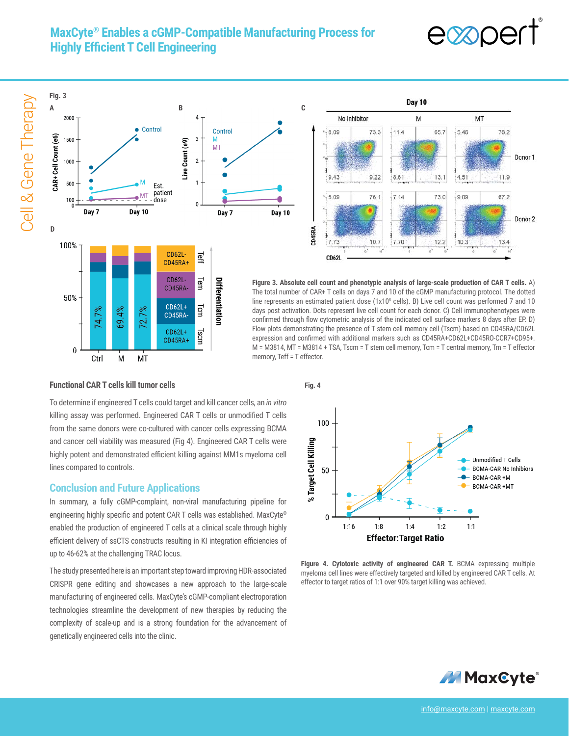# **MaxCyte® Enables a cGMP-Compatible Manufacturing Process for Highly Efficient T Cell Engineering**



Cell & Gene Therapy Cell & Gene Therapy





**Figure 3. Absolute cell count and phenotypic analysis of large-scale production of CAR T cells.** A) The total number of CAR+ T cells on days 7 and 10 of the cGMP manufacturing protocol. The dotted line represents an estimated patient dose  $(1x10<sup>8</sup>$  cells). B) Live cell count was performed 7 and 10 days post activation. Dots represent live cell count for each donor. C) Cell immunophenotypes were confirmed through flow cytometric analysis of the indicated cell surface markers 8 days after EP. D) Flow plots demonstrating the presence of T stem cell memory cell (Tscm) based on CD45RA/CD62L expression and confirmed with additional markers such as CD45RA+CD62L+CD45RO-CCR7+CD95+. M = M3814, MT = M3814 + TSA, Tscm = T stem cell memory, Tcm = T central memory, Tm = T effector memory, Teff = T effector.

#### **Functional CAR T cells kill tumor cells**

M

MT

Ctrl

To determine if engineered T cells could target and kill cancer cells, an *in vitro*  killing assay was performed. Engineered CAR T cells or unmodified T cells from the same donors were co-cultured with cancer cells expressing BCMA and cancer cell viability was measured (Fig 4). Engineered CAR T cells were highly potent and demonstrated efficient killing against MM1s myeloma cell lines compared to controls.

#### **Conclusion and Future Applications**

In summary, a fully cGMP-complaint, non-viral manufacturing pipeline for engineering highly specific and potent CAR T cells was established. MaxCyte® enabled the production of engineered T cells at a clinical scale through highly efficient delivery of ssCTS constructs resulting in KI integration efficiencies of up to 46-62% at the challenging TRAC locus.

The study presented here is an important step toward improving HDR-associated CRISPR gene editing and showcases a new approach to the large-scale manufacturing of engineered cells. MaxCyte's cGMP-compliant electroporation technologies streamline the development of new therapies by reducing the complexity of scale-up and is a strong foundation for the advancement of genetically engineered cells into the clinic.



Figure 4. Cytotoxic activity of engineered CAR T. BCMA expressing multiple myeloma cell lines were effectively targeted and killed by engineered CAR T cells. At effector to target ratios of 1:1 over 90% target killing was achieved.